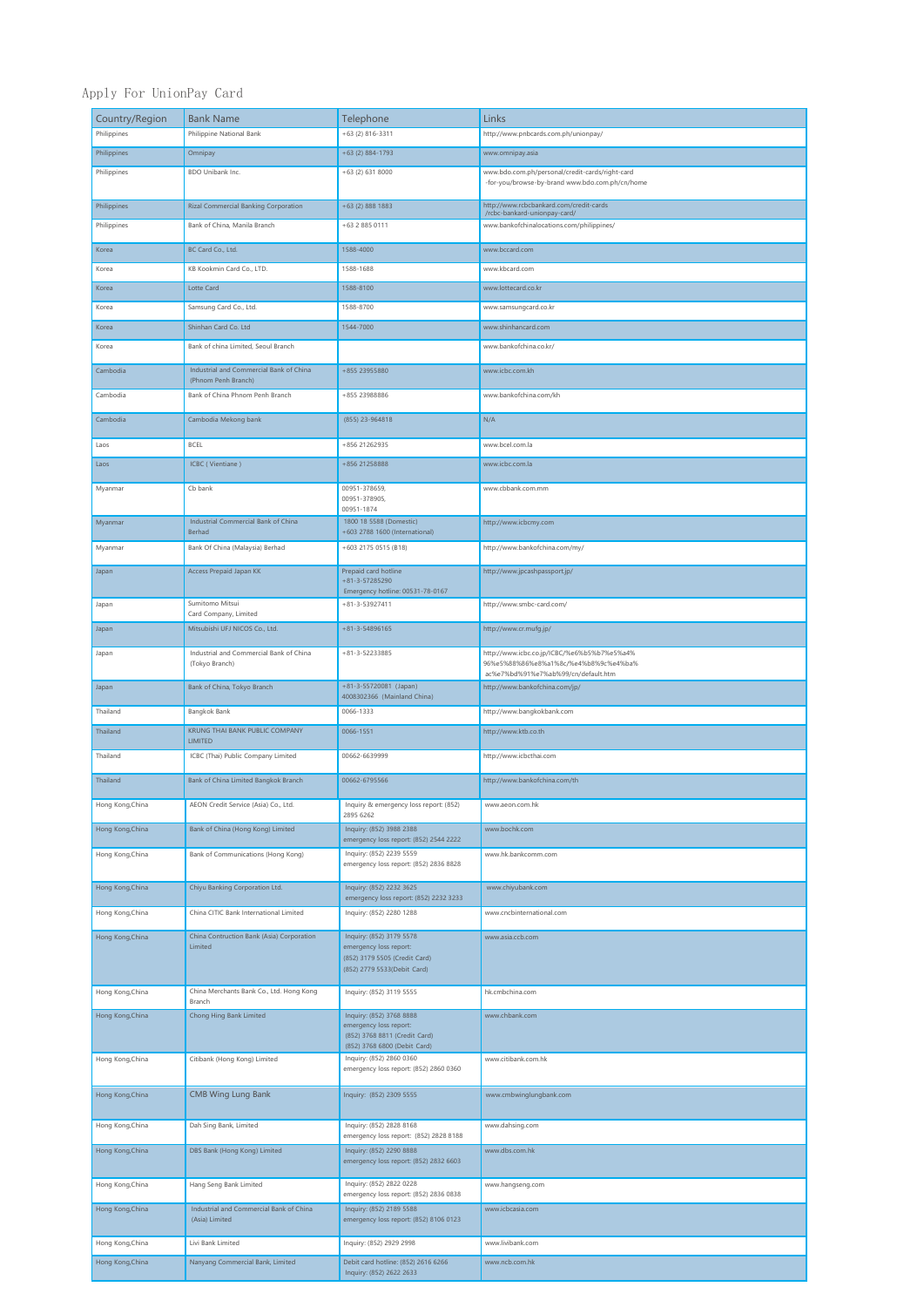## Apply For UnionPay Card

| Country/Region   | <b>Bank Name</b>                                               | Telephone                                                                                                           | Links                                                                                                                       |
|------------------|----------------------------------------------------------------|---------------------------------------------------------------------------------------------------------------------|-----------------------------------------------------------------------------------------------------------------------------|
| Philippines      | Philippine National Bank                                       | +63 (2) 816-3311                                                                                                    | http://www.pnbcards.com.ph/unionpay/                                                                                        |
| Philippines      | Omnipay                                                        | +63 (2) 884-1793                                                                                                    | www.omnipay.asia                                                                                                            |
| Philippines      | BDO Unibank Inc.                                               | +63 (2) 631 8000                                                                                                    | www.bdo.com.ph/personal/credit-cards/right-card<br>-for-you/browse-by-brand www.bdo.com.ph/cn/home                          |
| Philippines      | <b>Rizal Commercial Banking Corporation</b>                    | $+63$ (2) 888 1883                                                                                                  | http://www.rcbcbankard.com/credit-cards<br>/rcbc-bankard-unionpay-card/                                                     |
| Philippines      | Bank of China, Manila Branch                                   | +63 2 885 0111                                                                                                      | www.bankofchinalocations.com/philippines/                                                                                   |
| Korea            | BC Card Co., Ltd.                                              | 1588-4000                                                                                                           | www.bccard.com                                                                                                              |
| Korea            | KB Kookmin Card Co., LTD.                                      | 1588-1688                                                                                                           | www.kbcard.com                                                                                                              |
| Korea            | Lotte Card                                                     | 1588-8100                                                                                                           | www.lottecard.co.kr                                                                                                         |
| Korea            | Samsung Card Co., Ltd.                                         | 1588-8700                                                                                                           | www.samsungcard.co.kr                                                                                                       |
| Korea            | Shinhan Card Co. Ltd                                           | 1544-7000                                                                                                           | www.shinhancard.com                                                                                                         |
| Korea            | Bank of china Limited, Seoul Branch                            |                                                                                                                     | www.bankofchina.co.kr/                                                                                                      |
| Cambodia         | Industrial and Commercial Bank of China<br>(Phnom Penh Branch) | +855 23955880                                                                                                       | www.icbc.com.kh                                                                                                             |
| Cambodia         | Bank of China Phnom Penh Branch                                | +855 23988886                                                                                                       | www.bankofchina.com/kh                                                                                                      |
| Cambodia         | Cambodia Mekong bank                                           | (855) 23-964818                                                                                                     | N/A                                                                                                                         |
| Laos             | BCEL                                                           | +856 21262935                                                                                                       | www.bcel.com.la                                                                                                             |
| Laos             | ICBC (Vientiane)                                               | +856 21258888                                                                                                       | www.icbc.com.la                                                                                                             |
| Myanmar          | Cb bank                                                        | 00951-378659,                                                                                                       | www.cbbank.com.mm                                                                                                           |
|                  | Industrial Commercial Bank of China                            | 00951-378905,<br>00951-1874<br>1800 18 5588 (Domestic)                                                              |                                                                                                                             |
| Myanmar          | Berhad                                                         | +603 2788 1600 (International)                                                                                      | http://www.icbcmy.com                                                                                                       |
| Myanmar          | Bank Of China (Malaysia) Berhad                                | +603 2175 0515 (B18)                                                                                                | http://www.bankofchina.com/my/                                                                                              |
| Japan            | <b>Access Prepaid Japan KK</b>                                 | Prepaid card hotline<br>$+81 - 3 - 57285290$<br>Emergency hotline: 00531-78-0167                                    | http://www.jpcashpassport.jp/                                                                                               |
| Japan            | Sumitomo Mitsui<br>Card Company, Limited                       | $+81 - 3 - 53927411$                                                                                                | http://www.smbc-card.com/                                                                                                   |
| Japan            | Mitsubishi UFJ NICOS Co., Ltd.                                 | $+81 - 3 - 54896165$                                                                                                | http://www.cr.mufg.jp/                                                                                                      |
| Japan            | Industrial and Commercial Bank of China<br>(Tokyo Branch)      | +81-3-52233885                                                                                                      | http://www.icbc.co.jp/ICBC/%e6%b5%b7%e5%a4%<br>96%e5%88%86%e8%a1%8c/%e4%b8%9c%e4%ba%<br>ac%e7%bd%91%e7%ab%99/cn/default.htm |
| Japan            | Bank of China, Tokyo Branch                                    | +81-3-55720081 (Japan)<br>4008302366 (Mainland China)                                                               | http://www.bankofchina.com/jp/                                                                                              |
| Thailand         | Bangkok Bank                                                   | 0066-1333                                                                                                           | http://www.bangkokbank.com                                                                                                  |
| Thailand         | KRUNG THAI BANK PUBLIC COMPANY<br>LIMITED                      | 0066-1551                                                                                                           | http://www.ktb.co.th                                                                                                        |
| Thailand         | ICBC (Thai) Public Company Limited                             | 00662-6639999                                                                                                       | http://www.icbcthai.com                                                                                                     |
| Thailand         | Bank of China Limited Bangkok Branch                           | 00662-6795566                                                                                                       | http://www.bankofchina.com/th                                                                                               |
| Hong Kong,China  | AEON Credit Service (Asia) Co., Lta.                           | inquiry & emergency loss report: (652)<br>2895 6262                                                                 | www.aeon.com.nk                                                                                                             |
| Hong Kong, China | Bank of China (Hong Kong) Limited                              | Inquiry: (852) 3988 2388<br>emergency loss report: (852) 2544 2222                                                  | www.bochk.com                                                                                                               |
| Hong Kong, China | Bank of Communications (Hong Kong)                             | Inquiry: (852) 2239 5559<br>emergency loss report: (852) 2836 8828                                                  | www.hk.bankcomm.com                                                                                                         |
| Hong Kong, China | Chiyu Banking Corporation Ltd.                                 | Inquiry: (852) 2232 3625<br>emergency loss report: (852) 2232 3233                                                  | www.chiyubank.com                                                                                                           |
| Hong Kong, China | China CITIC Bank International Limited                         | Inquiry: (852) 2280 1288                                                                                            | www.cncbinternational.com                                                                                                   |
| Hong Kong, China | China Contruction Bank (Asia) Corporation                      | Inquiry: (852) 3179 5578                                                                                            | www.asia.ccb.com                                                                                                            |
|                  | Limited                                                        | emergency loss report:<br>(852) 3179 5505 (Credit Card)<br>(852) 2779 5533 (Debit Card)                             |                                                                                                                             |
| Hong Kong, China | China Merchants Bank Co., Ltd. Hong Kong<br>Branch             | Inquiry: (852) 3119 5555                                                                                            | hk.cmbchina.com                                                                                                             |
| Hong Kong, China | Chong Hing Bank Limited                                        | Inquiry: (852) 3768 8888<br>emergency loss report:<br>(852) 3768 8811 (Credit Card)<br>(852) 3768 6800 (Debit Card) | www.chbank.com                                                                                                              |
| Hong Kong, China | Citibank (Hong Kong) Limited                                   | Inquiry: (852) 2860 0360<br>emergency loss report: (852) 2860 0360                                                  | www.citibank.com.hk                                                                                                         |
| Hong Kong, China | <b>CMB Wing Lung Bank</b>                                      | Inquiry: (852) 2309 5555                                                                                            | www.cmbwinglungbank.com                                                                                                     |
| Hong Kong, China | Dah Sing Bank, Limited                                         | Inquiry: (852) 2828 8168<br>emergency loss report: (852) 2828 8188                                                  | www.dahsing.com                                                                                                             |
| Hong Kong, China | DBS Bank (Hong Kong) Limited                                   | Inquiry: (852) 2290 8888<br>emergency loss report: (852) 2832 6603                                                  | www.dbs.com.hk                                                                                                              |
| Hong Kong, China | Hang Seng Bank Limited                                         | Inquiry: (852) 2822 0228                                                                                            | www.hangseng.com                                                                                                            |
| Hong Kong, China | Industrial and Commercial Bank of China                        | emergency loss report: (852) 2836 0838<br>Inquiry: (852) 2189 5588                                                  | www.icbcasia.com                                                                                                            |
|                  | (Asia) Limited                                                 | emergency loss report: (852) 8106 0123                                                                              |                                                                                                                             |
| Hong Kong, China | Livi Bank Limited                                              | Inquiry: (852) 2929 2998                                                                                            | www.livibank.com                                                                                                            |
| Hong Kong, China | Nanyang Commercial Bank, Limited                               | Debit card hotline: (852) 2616 6266<br>Inquiry: (852) 2622 2633                                                     | www.ncb.com.hk                                                                                                              |